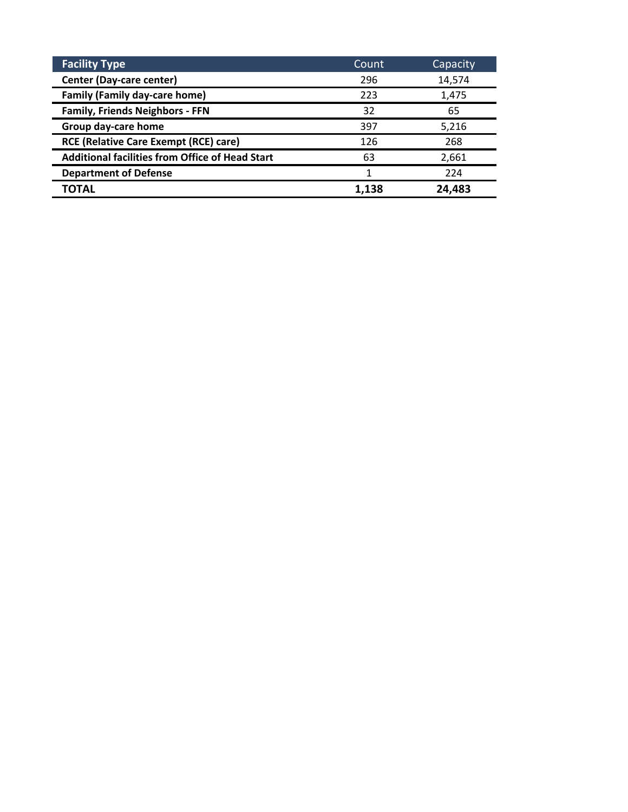| <b>Facility Type</b>                                   | Count | Capacity |
|--------------------------------------------------------|-------|----------|
| Center (Day-care center)                               | 296   | 14,574   |
| <b>Family (Family day-care home)</b>                   | 223   | 1,475    |
| <b>Family, Friends Neighbors - FFN</b>                 | 32    | 65       |
| Group day-care home                                    | 397   | 5,216    |
| <b>RCE (Relative Care Exempt (RCE) care)</b>           | 126   | 268      |
| <b>Additional facilities from Office of Head Start</b> | 63    | 2,661    |
| <b>Department of Defense</b>                           | 1     | 224      |
| TOTAL                                                  | 1.138 | 24,483   |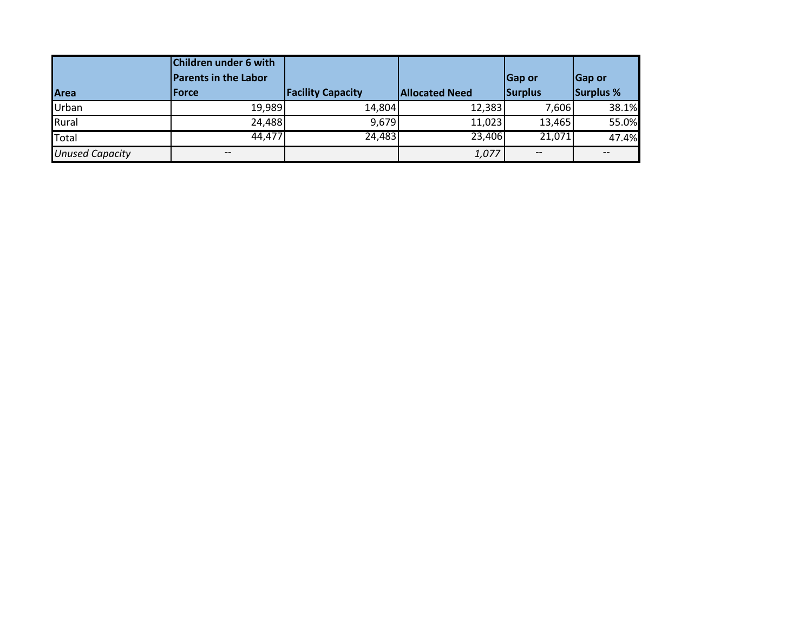|                        | Children under 6 with<br><b>Parents in the Labor</b> |                          |                       | <b>Gap or</b>                         | Gap or           |
|------------------------|------------------------------------------------------|--------------------------|-----------------------|---------------------------------------|------------------|
| Area                   | <b>lForce</b>                                        | <b>Facility Capacity</b> | <b>Allocated Need</b> | Surplus                               | <b>Surplus %</b> |
| Urban                  | 19,989                                               | 14,804                   | 12,383                | 7,606                                 | 38.1%            |
| Rural                  | 24,488                                               | 9,679                    | 11,023                | 13,465                                | 55.0%            |
| <b>Total</b>           | 44,477                                               | 24,483                   | 23,406                | 21,071                                | 47.4%            |
| <b>Unused Capacity</b> | $\qquad \qquad -$                                    |                          | 1,077                 | $\hspace{0.05cm}$ – $\hspace{0.05cm}$ | --               |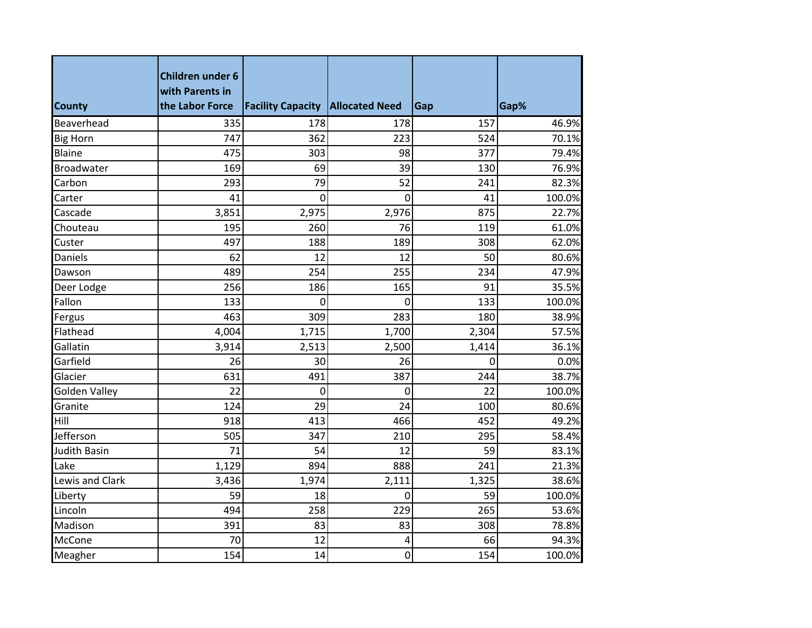| <b>County</b>        | <b>Children under 6</b><br>with Parents in<br>the Labor Force | <b>Facility Capacity Allocated Need</b> |       | Gap   | Gap%   |
|----------------------|---------------------------------------------------------------|-----------------------------------------|-------|-------|--------|
| Beaverhead           | 335                                                           | 178                                     | 178   | 157   | 46.9%  |
| <b>Big Horn</b>      | 747                                                           | 362                                     | 223   | 524   | 70.1%  |
| Blaine               | 475                                                           | 303                                     | 98    | 377   | 79.4%  |
| <b>Broadwater</b>    | 169                                                           | 69                                      | 39    | 130   | 76.9%  |
| Carbon               | 293                                                           | 79                                      | 52    | 241   | 82.3%  |
| Carter               | 41                                                            | 0                                       | 0     | 41    | 100.0% |
| Cascade              | 3,851                                                         | 2,975                                   | 2,976 | 875   | 22.7%  |
| Chouteau             | 195                                                           | 260                                     | 76    | 119   | 61.0%  |
| Custer               | 497                                                           | 188                                     | 189   | 308   | 62.0%  |
| Daniels              | 62                                                            | 12                                      | 12    | 50    | 80.6%  |
| Dawson               | 489                                                           | 254                                     | 255   | 234   | 47.9%  |
| Deer Lodge           | 256                                                           | 186                                     | 165   | 91    | 35.5%  |
| Fallon               | 133                                                           | 0                                       | 0     | 133   | 100.0% |
| Fergus               | 463                                                           | 309                                     | 283   | 180   | 38.9%  |
| Flathead             | 4,004                                                         | 1,715                                   | 1,700 | 2,304 | 57.5%  |
| Gallatin             | 3,914                                                         | 2,513                                   | 2,500 | 1,414 | 36.1%  |
| Garfield             | 26                                                            | 30                                      | 26    | 0     | 0.0%   |
| Glacier              | 631                                                           | 491                                     | 387   | 244   | 38.7%  |
| <b>Golden Valley</b> | 22                                                            | $\overline{0}$                          | 0     | 22    | 100.0% |
| Granite              | 124                                                           | 29                                      | 24    | 100   | 80.6%  |
| Hill                 | 918                                                           | 413                                     | 466   | 452   | 49.2%  |
| Jefferson            | 505                                                           | 347                                     | 210   | 295   | 58.4%  |
| <b>Judith Basin</b>  | 71                                                            | 54                                      | 12    | 59    | 83.1%  |
| Lake                 | 1,129                                                         | 894                                     | 888   | 241   | 21.3%  |
| Lewis and Clark      | 3,436                                                         | 1,974                                   | 2,111 | 1,325 | 38.6%  |
| Liberty              | 59                                                            | 18                                      | 0     | 59    | 100.0% |
| Lincoln              | 494                                                           | 258                                     | 229   | 265   | 53.6%  |
| Madison              | 391                                                           | 83                                      | 83    | 308   | 78.8%  |
| McCone               | 70                                                            | 12                                      | 4     | 66    | 94.3%  |
| Meagher              | 154                                                           | 14                                      | 0     | 154   | 100.0% |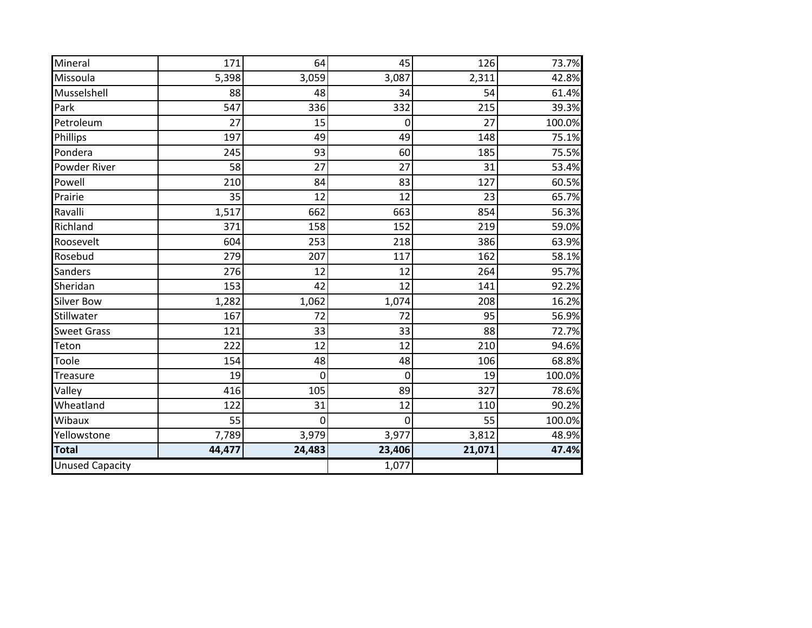|        |              |             |             | 73.7%               |
|--------|--------------|-------------|-------------|---------------------|
|        |              |             | 2,311       | 42.8%               |
| 88     | 48           | 34          | 54          | 61.4%               |
| 547    | 336          | 332         | 215         | 39.3%               |
| 27     | 15           | 0           | 27          | 100.0%              |
| 197    | 49           | 49          | 148         | 75.1%               |
| 245    | 93           | 60          | 185         | 75.5%               |
| 58     | 27           | 27          | 31          | 53.4%               |
| 210    | 84           | 83          | 127         | 60.5%               |
| 35     | 12           | 12          | 23          | 65.7%               |
| 1,517  | 662          | 663         | 854         | 56.3%               |
| 371    | 158          | 152         | 219         | 59.0%               |
| 604    | 253          | 218         | 386         | 63.9%               |
| 279    | 207          | 117         |             | 58.1%               |
| 276    | 12           | 12          | 264         | 95.7%               |
| 153    | 42           | 12          | 141         | 92.2%               |
| 1,282  | 1,062        |             | 208         | 16.2%               |
| 167    | 72           | 72          | 95          | 56.9%               |
| 121    | 33           | 33          | 88          | 72.7%               |
| 222    | 12           | 12          | 210         | 94.6%               |
| 154    | 48           | 48          | 106         | 68.8%               |
| 19     | 0            | $\mathbf 0$ | 19          | 100.0%              |
| 416    | 105          | 89          | 327         | 78.6%               |
| 122    | 31           | 12          | 110         | 90.2%               |
| 55     | 0            | $\mathbf 0$ | 55          | 100.0%              |
| 7,789  | 3,979        | 3,977       | 3,812       | 48.9%               |
| 44,477 | 24,483       | 23,406      | 21,071      | 47.4%               |
|        |              | 1,077       |             |                     |
|        | 171<br>5,398 | 64<br>3,059 | 45<br>3,087 | 126<br>162<br>1,074 |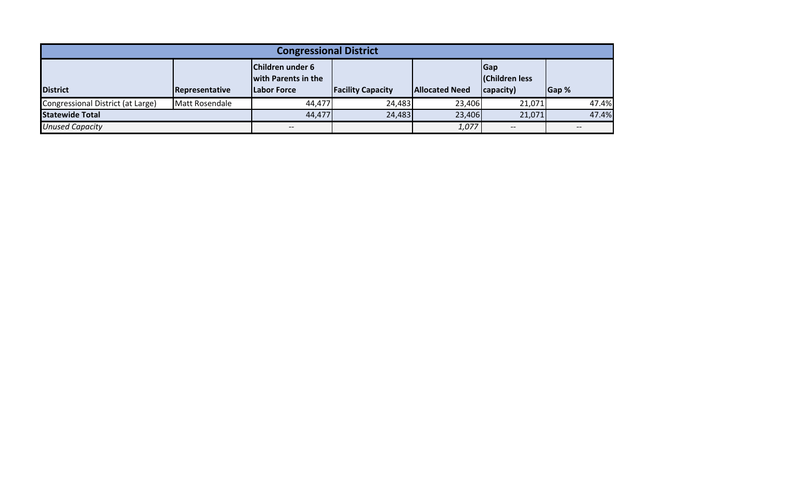| <b>Congressional District</b>     |                |                                                               |                          |                       |                                          |       |  |  |
|-----------------------------------|----------------|---------------------------------------------------------------|--------------------------|-----------------------|------------------------------------------|-------|--|--|
| <b>District</b>                   | Representative | Children under 6<br>with Parents in the<br><b>Labor Force</b> | <b>Facility Capacity</b> | <b>Allocated Need</b> | Gap<br><b>Children less</b><br>capacity) | Gap % |  |  |
| Congressional District (at Large) | Matt Rosendale | 44.477                                                        | 24,483                   | 23,406                | 21,071                                   | 47.4% |  |  |
| <b>Statewide Total</b>            | 44,477         | 24,483                                                        | 23,406                   | 21,071                | 47.4%                                    |       |  |  |
| <b>Unused Capacity</b>            |                | $\hspace{0.05cm}$ – $\hspace{0.05cm}$                         |                          | 1,077                 | $\overline{\phantom{m}}$                 |       |  |  |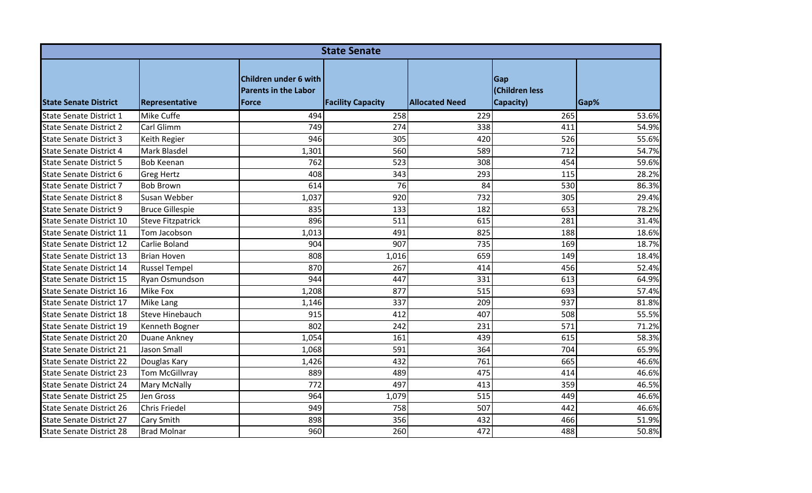|                                 | <b>State Senate</b>      |                                                                      |                          |                       |                                    |       |  |  |  |  |
|---------------------------------|--------------------------|----------------------------------------------------------------------|--------------------------|-----------------------|------------------------------------|-------|--|--|--|--|
| <b>State Senate District</b>    | Representative           | Children under 6 with<br><b>Parents in the Labor</b><br><b>Force</b> | <b>Facility Capacity</b> | <b>Allocated Need</b> | Gap<br>(Children less<br>Capacity) | Gap%  |  |  |  |  |
| <b>State Senate District 1</b>  | <b>Mike Cuffe</b>        | 494                                                                  | 258                      | 229                   | 265                                | 53.6% |  |  |  |  |
| <b>State Senate District 2</b>  | Carl Glimm               | 749                                                                  | 274                      | 338                   | 411                                | 54.9% |  |  |  |  |
| <b>State Senate District 3</b>  | Keith Regier             | 946                                                                  | 305                      | 420                   | 526                                | 55.6% |  |  |  |  |
| <b>State Senate District 4</b>  | Mark Blasdel             | 1,301                                                                | 560                      | 589                   | 712                                | 54.7% |  |  |  |  |
| <b>State Senate District 5</b>  | <b>Bob Keenan</b>        | 762                                                                  | 523                      | 308                   | 454                                | 59.6% |  |  |  |  |
| State Senate District 6         | <b>Greg Hertz</b>        | 408                                                                  | 343                      | 293                   | 115                                | 28.2% |  |  |  |  |
| <b>State Senate District 7</b>  | <b>Bob Brown</b>         | 614                                                                  | 76                       | 84                    | 530                                | 86.3% |  |  |  |  |
| <b>State Senate District 8</b>  | Susan Webber             | 1,037                                                                | 920                      | 732                   | 305                                | 29.4% |  |  |  |  |
| <b>State Senate District 9</b>  | <b>Bruce Gillespie</b>   | 835                                                                  | 133                      | 182                   | 653                                | 78.2% |  |  |  |  |
| <b>State Senate District 10</b> | <b>Steve Fitzpatrick</b> | 896                                                                  | 511                      | 615                   | 281                                | 31.4% |  |  |  |  |
| <b>State Senate District 11</b> | Tom Jacobson             | 1,013                                                                | 491                      | 825                   | 188                                | 18.6% |  |  |  |  |
| <b>State Senate District 12</b> | Carlie Boland            | 904                                                                  | 907                      | 735                   | 169                                | 18.7% |  |  |  |  |
| <b>State Senate District 13</b> | <b>Brian Hoven</b>       | 808                                                                  | 1,016                    | 659                   | 149                                | 18.4% |  |  |  |  |
| State Senate District 14        | <b>Russel Tempel</b>     | 870                                                                  | 267                      | 414                   | 456                                | 52.4% |  |  |  |  |
| State Senate District 15        | Ryan Osmundson           | 944                                                                  | 447                      | 331                   | 613                                | 64.9% |  |  |  |  |
| <b>State Senate District 16</b> | <b>Mike Fox</b>          | 1,208                                                                | 877                      | 515                   | 693                                | 57.4% |  |  |  |  |
| State Senate District 17        | Mike Lang                | 1,146                                                                | 337                      | 209                   | 937                                | 81.8% |  |  |  |  |
| <b>State Senate District 18</b> | <b>Steve Hinebauch</b>   | 915                                                                  | 412                      | 407                   | 508                                | 55.5% |  |  |  |  |
| <b>State Senate District 19</b> | Kenneth Bogner           | 802                                                                  | 242                      | 231                   | 571                                | 71.2% |  |  |  |  |
| <b>State Senate District 20</b> | Duane Ankney             | 1,054                                                                | 161                      | 439                   | 615                                | 58.3% |  |  |  |  |
| <b>State Senate District 21</b> | <b>Jason Small</b>       | 1,068                                                                | 591                      | 364                   | 704                                | 65.9% |  |  |  |  |
| <b>State Senate District 22</b> | Douglas Kary             | 1,426                                                                | 432                      | 761                   | 665                                | 46.6% |  |  |  |  |
| <b>State Senate District 23</b> | Tom McGillvray           | 889                                                                  | 489                      | 475                   | 414                                | 46.6% |  |  |  |  |
| <b>State Senate District 24</b> | <b>Mary McNally</b>      | 772                                                                  | 497                      | 413                   | 359                                | 46.5% |  |  |  |  |
| <b>State Senate District 25</b> | Jen Gross                | 964                                                                  | 1,079                    | 515                   | 449                                | 46.6% |  |  |  |  |
| <b>State Senate District 26</b> | <b>Chris Friedel</b>     | 949                                                                  | 758                      | 507                   | 442                                | 46.6% |  |  |  |  |
| State Senate District 27        | <b>Cary Smith</b>        | 898                                                                  | 356                      | 432                   | 466                                | 51.9% |  |  |  |  |
| <b>State Senate District 28</b> | <b>Brad Molnar</b>       | 960                                                                  | 260                      | 472                   | 488                                | 50.8% |  |  |  |  |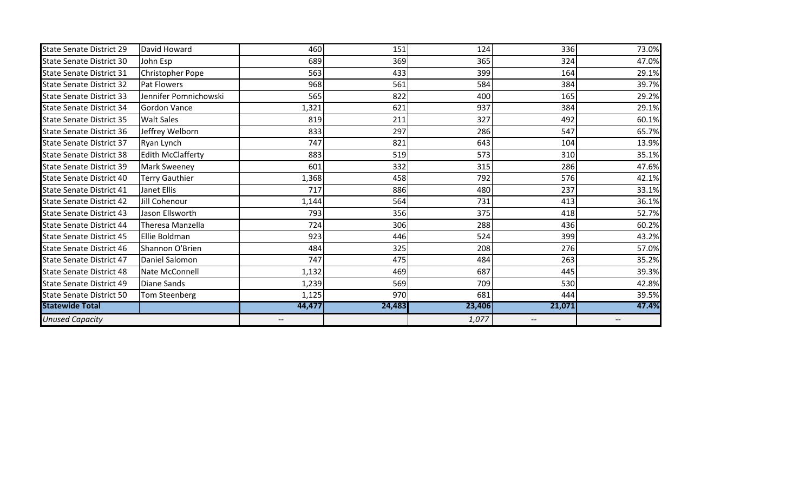| <b>State Senate District 31</b><br><b>State Senate District 32</b> | Christopher Pope<br><b>Pat Flowers</b> | 563<br>968 | 433<br>561 | 399<br>584 | 164<br>384 | 29.1%<br>39.7% |
|--------------------------------------------------------------------|----------------------------------------|------------|------------|------------|------------|----------------|
|                                                                    |                                        |            |            |            |            |                |
| <b>State Senate District 33</b>                                    | Jennifer Pomnichowski                  | 565        | 822        | 400        | 165        | 29.2%          |
| <b>State Senate District 34</b>                                    | <b>Gordon Vance</b>                    | 1,321      | 621        | 937        | 384        | 29.1%          |
| <b>State Senate District 35</b>                                    | <b>Walt Sales</b>                      | 819        | 211        | 327        | 492        | 60.1%          |
| <b>State Senate District 36</b>                                    | Jeffrey Welborn                        | 833        | 297        | 286        | 547        | 65.7%          |
| <b>State Senate District 37</b>                                    | Ryan Lynch                             | 747        | 821        | 643        | 104        | 13.9%          |
| <b>State Senate District 38</b>                                    | <b>Edith McClafferty</b>               | 883        | 519        | 573        | 310        | 35.1%          |
| <b>State Senate District 39</b>                                    | <b>Mark Sweeney</b>                    | 601        | 332        | 315        | 286        | 47.6%          |
| <b>State Senate District 40</b>                                    | <b>Terry Gauthier</b>                  | 1,368      | 458        | 792        | 576        | 42.1%          |
| <b>State Senate District 41</b>                                    | Janet Ellis                            | 717        | 886        | 480        | 237        | 33.1%          |
| <b>State Senate District 42</b>                                    | Jill Cohenour                          | 1,144      | 564        | 731        | 413        | 36.1%          |
| <b>State Senate District 43</b>                                    | Jason Ellsworth                        | 793        | 356        | 375        | 418        | 52.7%          |
| <b>State Senate District 44</b>                                    | Theresa Manzella                       | 724        | 306        | 288        | 436        | 60.2%          |
| <b>State Senate District 45</b>                                    | Ellie Boldman                          | 923        | 446        | 524        | 399        | 43.2%          |
| <b>State Senate District 46</b>                                    | Shannon O'Brien                        | 484        | 325        | 208        | 276        | 57.0%          |
| <b>State Senate District 47</b>                                    | Daniel Salomon                         | 747        | 475        | 484        | 263        | 35.2%          |
| <b>State Senate District 48</b>                                    | Nate McConnell                         | 1,132      | 469        | 687        | 445        | 39.3%          |
| <b>State Senate District 49</b>                                    | <b>Diane Sands</b>                     | 1,239      | 569        | 709        | 530        | 42.8%          |
| <b>State Senate District 50</b>                                    | Tom Steenberg                          | 1,125      | 970        | 681        | 444        | 39.5%          |
| <b>Statewide Total</b>                                             |                                        | 44,477     | 24,483     | 23,406     | 21,071     | 47.4%          |
| <b>Unused Capacity</b>                                             |                                        |            |            | 1,077      |            |                |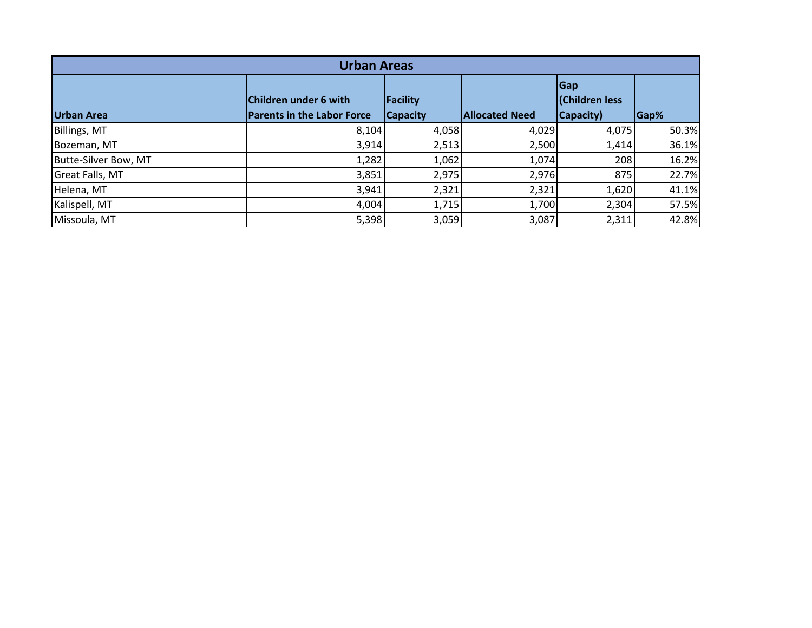| <b>Urban Areas</b>     |                                                            |                                    |                       |                                                   |       |  |  |  |
|------------------------|------------------------------------------------------------|------------------------------------|-----------------------|---------------------------------------------------|-------|--|--|--|
| <b>Urban Area</b>      | Children under 6 with<br><b>Parents in the Labor Force</b> | <b>Facility</b><br><b>Capacity</b> | <b>Allocated Need</b> | <b>Gap</b><br><b>(Children less)</b><br>Capacity) | Gap%  |  |  |  |
| Billings, MT           | 8,104                                                      | 4,058                              | 4,029                 | 4,075                                             | 50.3% |  |  |  |
| Bozeman, MT            | 3,914                                                      | 2,513                              | 2,500                 | 1,414                                             | 36.1% |  |  |  |
| Butte-Silver Bow, MT   | 1,282                                                      | 1,062                              | 1,074                 | 208                                               | 16.2% |  |  |  |
| <b>Great Falls, MT</b> | 3,851                                                      | 2,975                              | 2,976                 | 875                                               | 22.7% |  |  |  |
| Helena, MT             | 3,941                                                      | 2,321                              | 2,321                 | 1,620                                             | 41.1% |  |  |  |
| Kalispell, MT          | 4,004                                                      | 1,715                              | 1,700                 | 2,304                                             | 57.5% |  |  |  |
| Missoula, MT           | 5,398                                                      | 3,059                              | 3,087                 | 2,311                                             | 42.8% |  |  |  |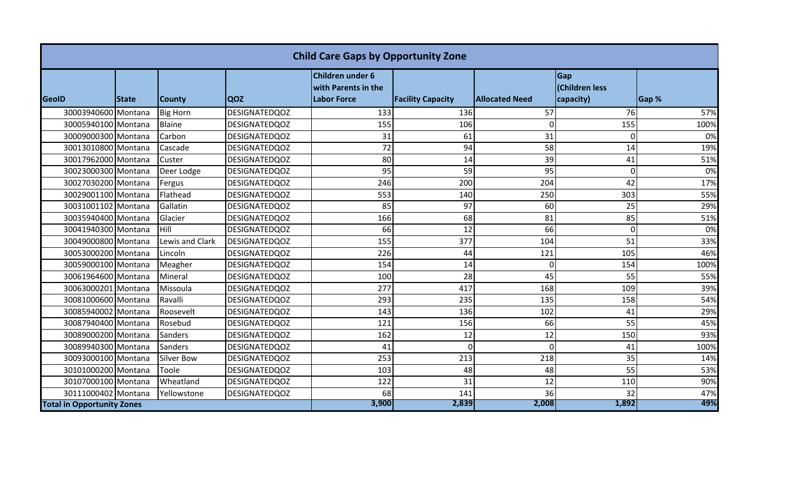| <b>Child Care Gaps by Opportunity Zone</b> |              |                   |                      |                                                               |                          |                       |                                    |       |
|--------------------------------------------|--------------|-------------------|----------------------|---------------------------------------------------------------|--------------------------|-----------------------|------------------------------------|-------|
| <b>GeoID</b>                               | <b>State</b> | <b>County</b>     | <b>QOZ</b>           | Children under 6<br>with Parents in the<br><b>Labor Force</b> | <b>Facility Capacity</b> | <b>Allocated Need</b> | Gap<br>(Children less<br>capacity) | Gap % |
| 30003940600 Montana                        |              | <b>Big Horn</b>   | <b>DESIGNATEDQOZ</b> | 133                                                           | 136                      | 57                    | 76                                 | 57%   |
| 30005940100 Montana                        |              | Blaine            | <b>DESIGNATEDQOZ</b> | 155                                                           | 106                      | $\mathbf 0$           | 155                                | 100%  |
| 30009000300 Montana                        |              | Carbon            | <b>DESIGNATEDQOZ</b> | 31                                                            | 61                       | 31                    | $\Omega$                           | 0%    |
| 30013010800 Montana                        |              | Cascade           | <b>DESIGNATEDQOZ</b> | 72                                                            | 94                       | 58                    | 14                                 | 19%   |
| 30017962000 Montana                        |              | Custer            | <b>DESIGNATEDQOZ</b> | 80                                                            | 14                       | 39                    | 41                                 | 51%   |
| 30023000300 Montana                        |              | Deer Lodge        | <b>DESIGNATEDQOZ</b> | 95                                                            | 59                       | 95                    | $\Omega$                           | 0%    |
| 30027030200 Montana                        |              | Fergus            | <b>DESIGNATEDQOZ</b> | 246                                                           | 200                      | 204                   | 42                                 | 17%   |
| 30029001100 Montana                        |              | Flathead          | <b>DESIGNATEDQOZ</b> | 553                                                           | 140                      | 250                   | 303                                | 55%   |
| 30031001102 Montana                        |              | Gallatin          | <b>DESIGNATEDQOZ</b> | 85                                                            | 97                       | 60                    | 25                                 | 29%   |
| 30035940400 Montana                        |              | Glacier           | <b>DESIGNATEDQOZ</b> | 166                                                           | 68                       | 81                    | 85                                 | 51%   |
| 30041940300 Montana                        |              | Hill              | <b>DESIGNATEDQOZ</b> | 66                                                            | 12                       | 66                    | $\Omega$                           | 0%    |
| 30049000800 Montana                        |              | Lewis and Clark   | <b>DESIGNATEDQOZ</b> | 155                                                           | 377                      | 104                   | 51                                 | 33%   |
| 30053000200 Montana                        |              | Lincoln           | DESIGNATEDQOZ        | 226                                                           | 44                       | 121                   | 105                                | 46%   |
| 30059000100 Montana                        |              | Meagher           | <b>DESIGNATEDQOZ</b> | 154                                                           | 14                       | $\Omega$              | 154                                | 100%  |
| 30061964600 Montana                        |              | Mineral           | <b>DESIGNATEDQOZ</b> | 100                                                           | 28                       | 45                    | 55                                 | 55%   |
| 30063000201 Montana                        |              | Missoula          | <b>DESIGNATEDQOZ</b> | 277                                                           | 417                      | 168                   | 109                                | 39%   |
| 30081000600 Montana                        |              | Ravalli           | <b>DESIGNATEDQOZ</b> | 293                                                           | 235                      | 135                   | 158                                | 54%   |
| 30085940002 Montana                        |              | Roosevelt         | <b>DESIGNATEDQOZ</b> | 143                                                           | 136                      | 102                   | 41                                 | 29%   |
| 30087940400 Montana                        |              | Rosebud           | <b>DESIGNATEDQOZ</b> | 121                                                           | 156                      | 66                    | 55                                 | 45%   |
| 30089000200 Montana                        |              | Sanders           | <b>DESIGNATEDQOZ</b> | 162                                                           | 12                       | 12                    | 150                                | 93%   |
| 30089940300 Montana                        |              | Sanders           | <b>DESIGNATEDQOZ</b> | 41                                                            | 0                        | $\Omega$              | 41                                 | 100%  |
| 30093000100 Montana                        |              | <b>Silver Bow</b> | <b>DESIGNATEDQOZ</b> | 253                                                           | 213                      | 218                   | 35                                 | 14%   |
| 30101000200 Montana                        |              | Toole             | <b>DESIGNATEDQOZ</b> | 103                                                           | 48                       | 48                    | 55                                 | 53%   |
| 30107000100 Montana                        |              | Wheatland         | <b>DESIGNATEDQOZ</b> | 122                                                           | 31                       | 12                    | 110                                | 90%   |
| 30111000402 Montana                        |              | Yellowstone       | <b>DESIGNATEDQOZ</b> | 68                                                            | 141                      | 36                    | 32                                 | 47%   |
| <b>Total in Opportunity Zones</b>          |              |                   |                      | 3,900                                                         | 2,839                    | 2,008                 | 1,892                              | 49%   |